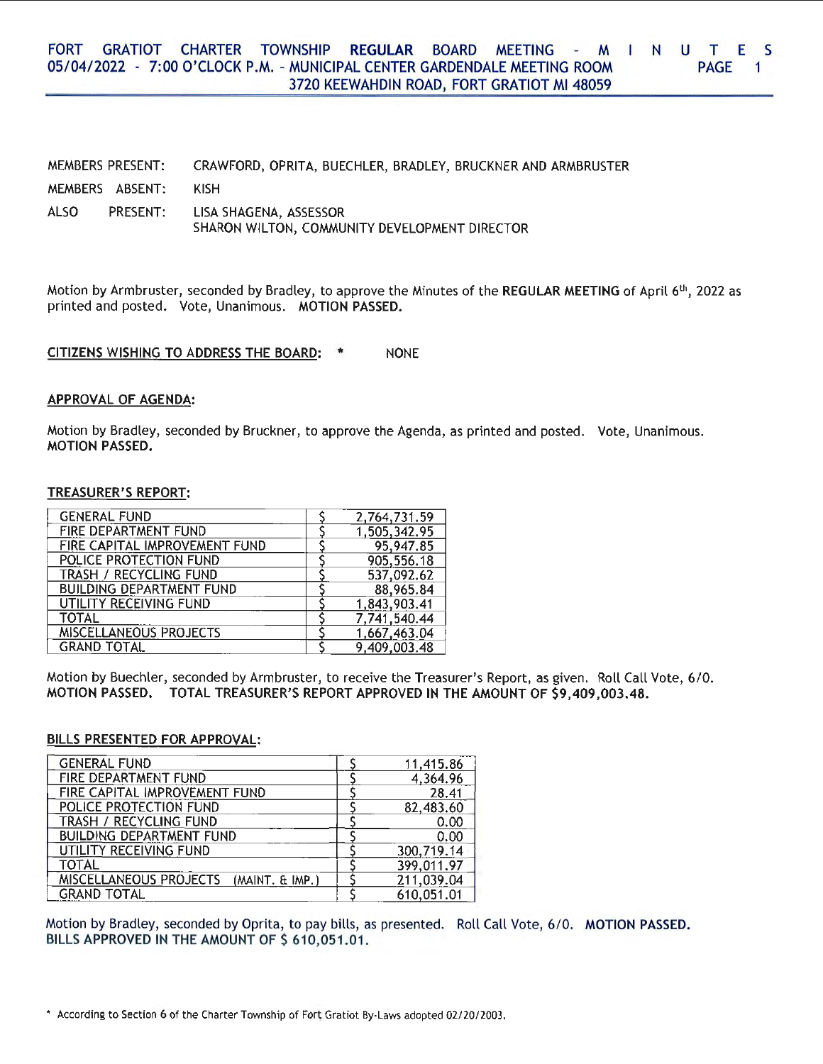#### FORT GRATIOT CHARTER TOWNSHIP **REGULAR** BOARD MEETING - M L N U T E S 05/ 04/ 2022 - 7:00 O'CLOCK P.M. - MUNICIPAL CENTER GARDENDALE MEETING ROOM PAGE<sub>1</sub> 3720 KEEWAHDIN ROAD, FORT GRATIOT Ml 48059

MEMBERS PRESENT: MEMBERS ABSENT: ALSO PRESENT: CRAWFORD, OPRITA, BUECHLER, BRADLEY, BRUCKNER AND ARMBRUSTER KISH LISA SHAGENA, ASSESSOR SHARON WILTON, COMMUNITY DEVELOPMENT DIRECTOR

Motion by Armbruster, seconded by Bradley, to approve the Minutes of the **REGULAR MEETING** of April 6<sup>th</sup>, 2022 as printed and posted. Vote, Unanimous. **MOTION PASSED.** 

**CITIZENS WISHING** TO **ADDRESS THE BOARD:** \* NONE

#### **APPROVAL OF AGENDA:**

Motion by Bradley, seconded by Bruckner, to approve the Agenda, as printed and posted. Vote, Unanimous. **MOTION PASSED.** 

## **TREASURER'S REPORT:**

| <b>GENERAL FUND</b>             | 2,764,731.59 |
|---------------------------------|--------------|
| FIRE DEPARTMENT FUND            | 1,505,342.95 |
| FIRE CAPITAL IMPROVEMENT FUND   | 95,947.85    |
| POLICE PROTECTION FUND          | 905,556.18   |
| TRASH / RECYCLING FUND          | 537,092.62   |
| <b>BUILDING DEPARTMENT FUND</b> | 88,965.84    |
| UTILITY RECEIVING FUND          | 1,843,903.41 |
| <b>TOTAL</b>                    | 7,741,540.44 |
| MISCELLANEOUS PROJECTS          | 1,667,463.04 |
| <b>GRAND TOTAL</b>              | 9,409,003.48 |

Motion by Buechler, seconded by Armbruster, to receive the Treasurer's Report, as given. Roll Call Vote, 6/0. **MOTION PASSED. TOTAL TREASURER'S REPORT APPROVED IN THE AMOUNT OF \$9,409,003.48.** 

## **BILLS PRESENTED FOR APPROVAL:**

| <b>GENERAL FUND</b>                       | 11,415.86  |
|-------------------------------------------|------------|
| FIRE DEPARTMENT FUND                      | 4,364.96   |
| FIRE CAPITAL IMPROVEMENT FUND             | 28.41      |
| POLICE PROTECTION FUND                    | 82,483.60  |
| TRASH / RECYCLING FUND                    | 0.00       |
| <b>BUILDING DEPARTMENT FUND</b>           | 0.00       |
| UTILITY RECEIVING FUND                    | 300,719.14 |
| TOTAL                                     | 399,011.97 |
| MISCELLANEOUS PROJECTS<br>(MAINT, & IMP.) | 211,039.04 |
| <b>GRAND TOTAL</b>                        | 610,051.01 |

Motion by Bradley, seconded by Oprita, to pay bills, as presented. Roll Call Vote, 6/0. MOTION PASSED. BILLS APPROVED IN THE AMOUNT OF \$ 610,051.01.

<sup>•</sup> According to Section 6 of the Charter Township of Fort Gratiot By-Laws adopted 02/20/2003.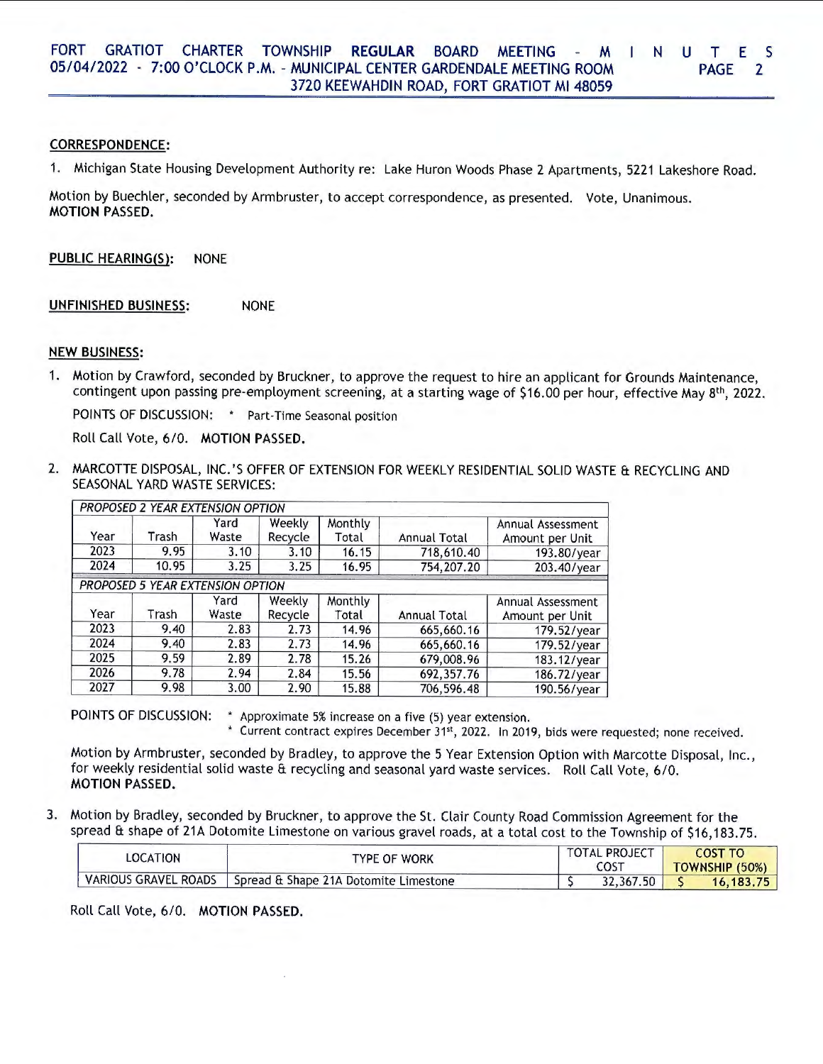## **CORRESPONDENCE:**

1. Michigan State Housing Development Authority re: Lake Huron Woods Phase 2 Apartments, 5221 Lakeshore Road.

Motion by Buechler, seconded by Armbruster, to accept correspondence, as presented. Vote, Unanimous. **MOTION PASSED.** 

**PUBLIC HEARING(S):** NONE

**UNFINISHED BUSINESS:** NONE

## **NEW BUSINESS:**

1. Motion by Crawford, seconded by Bruckner, to approve the request to hire an applicant for Grounds Maintenance, contingent upon passing pre-employment screening, at a starting wage of \$16.00 per hour, effective May 8<sup>th</sup>, 2022.

POINTS OF DISCUSSION: • Part-Time Seasonal position

Roll Call Vote, 6/0. **MOTION PASSED.** 

2. MARCOTTE DISPOSAL, INC.'S OFFER OF EXTENSION FOR WEEKLY RESIDENTIAL SOLID WASTE & RECYCLING AND SEASONAL YARD WASTE SERVICES:

|      | PROPOSED 2 YEAR EXTENSION OPTION |               |                   |                  |              |                                      |
|------|----------------------------------|---------------|-------------------|------------------|--------------|--------------------------------------|
| Year | Trash                            | Yard<br>Waste | Weekly<br>Recycle | Monthly<br>Total | Annual Total | Annual Assessment<br>Amount per Unit |
| 2023 | 9.95                             | 3.10          | 3.10              | 16.15            | 718,610,40   | 193.80/year                          |
| 2024 | 10.95                            | 3.25          | 3.25              | 16.95            | 754,207.20   | 203.40/year                          |
|      | PROPOSED 5 YEAR EXTENSION OPTION |               |                   |                  |              |                                      |
| Year | Trash                            | Yard<br>Waste | Weekly<br>Recycle | Monthly<br>Total | Annual Total | Annual Assessment<br>Amount per Unit |
| 2023 | 9.40                             | 2.83          | 2.73              | 14.96            | 665,660.16   | 179.52/year                          |
| 2024 | 9.40                             | 2.83          | 2.73              | 14.96            | 665,660.16   | 179.52/year                          |
| 2025 | 9.59                             | 2.89          | 2.78              | 15.26            | 679,008.96   | 183.12/year                          |
| 2026 | 9.78                             | 2.94          | 2.84              | 15.56            | 692,357.76   | 186.72/year                          |
| 2027 | 9.98                             | 3.00          | 2.90              | 15.88            | 706,596.48   | 190.56/year                          |

POINTS OF DISCUSSION: • Approximate 5% increase on a five (5) year extension.

\* Current contract expires December 31st, 2022. In 2019, bids were requested; none received.

Motion by Armbruster, seconded by Bradley, to approve the 5 Year Extension Option with Marcotte Disposal, Inc., for weekly residential solid waste & recycling and seasonal yard waste services. Roll Call Vote, 6/0. **MOTION PASSED.** 

3. Motion by Bradley, seconded by Bruckner, to approve the St. Clair County Road Commission Agreement for the spread & shape of 21A Dotomite Limestone on various gravel roads, at a total cost to the Township of \$16,183.75.

| LOCATION                    | TYPE OF WORK                          | <b>TOTAL PROJECT</b><br><b>COST</b> | COST TO<br>TOWNSHIP (50%) |  |
|-----------------------------|---------------------------------------|-------------------------------------|---------------------------|--|
| <b>VARIOUS GRAVEL ROADS</b> | Spread & Shape 21A Dotomite Limestone | 32,367<br>.50                       | 16, 183, 75               |  |

Roll Call Vote, 6/0. **MOTION PASSED.**